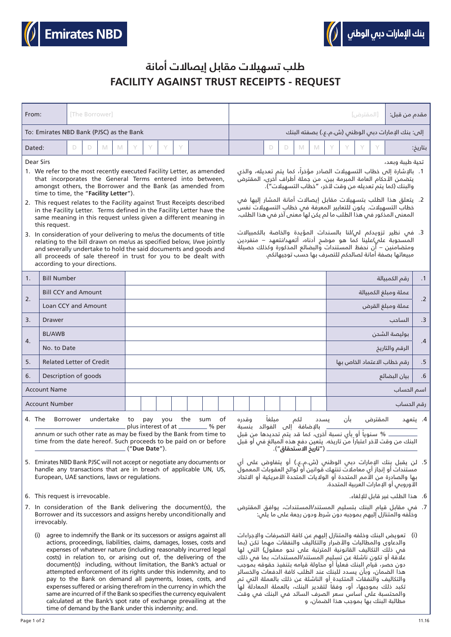



## **FACILITY AGAINST TRUST RECEIPTS - REQUEST طلب تسهيالت مقابل إيصاالت أمانة**

| From:                                                                                                                                                                                                                                                                                                                                                                                                                                                                                                                                                                                                                                                                                                                                                                                                                     |                            | [The Borrower] |   |   |   |  |  |   |                                                                                                                                                                                                                                                                                                                                                                                                                                                                                                                           |  |  |  | [المقترض] |  |   |                                                                                                                                                                                                                                                                                                                                                                                                                                                                                                                                                                                                                                                                                     |               |                             |                  |                                                   |  |                      | مقدم من قبل: |         |
|---------------------------------------------------------------------------------------------------------------------------------------------------------------------------------------------------------------------------------------------------------------------------------------------------------------------------------------------------------------------------------------------------------------------------------------------------------------------------------------------------------------------------------------------------------------------------------------------------------------------------------------------------------------------------------------------------------------------------------------------------------------------------------------------------------------------------|----------------------------|----------------|---|---|---|--|--|---|---------------------------------------------------------------------------------------------------------------------------------------------------------------------------------------------------------------------------------------------------------------------------------------------------------------------------------------------------------------------------------------------------------------------------------------------------------------------------------------------------------------------------|--|--|--|-----------|--|---|-------------------------------------------------------------------------------------------------------------------------------------------------------------------------------------------------------------------------------------------------------------------------------------------------------------------------------------------------------------------------------------------------------------------------------------------------------------------------------------------------------------------------------------------------------------------------------------------------------------------------------------------------------------------------------------|---------------|-----------------------------|------------------|---------------------------------------------------|--|----------------------|--------------|---------|
| To: Emirates NBD Bank (PJSC) as the Bank                                                                                                                                                                                                                                                                                                                                                                                                                                                                                                                                                                                                                                                                                                                                                                                  |                            |                |   |   |   |  |  |   |                                                                                                                                                                                                                                                                                                                                                                                                                                                                                                                           |  |  |  |           |  |   |                                                                                                                                                                                                                                                                                                                                                                                                                                                                                                                                                                                                                                                                                     |               |                             |                  | إلى: بنك الإمارات دبى الوطنس (ش.م.ع.) بصفته البنك |  |                      |              |         |
| Dated:                                                                                                                                                                                                                                                                                                                                                                                                                                                                                                                                                                                                                                                                                                                                                                                                                    |                            | D              | D | M | M |  |  | Y | Y                                                                                                                                                                                                                                                                                                                                                                                                                                                                                                                         |  |  |  |           |  | D | D                                                                                                                                                                                                                                                                                                                                                                                                                                                                                                                                                                                                                                                                                   | M             | M                           |                  |                                                   |  |                      |              | بتاريخ: |
| Dear Sirs<br>1. We refer to the most recently executed Facility Letter, as amended<br>that incorporates the General Terms entered into between,<br>amongst others, the Borrower and the Bank (as amended from<br>time to time, the "Facility Letter").<br>2. This request relates to the Facility against Trust Receipts described<br>in the Facility Letter. Terms defined in the Facility Letter have the<br>same meaning in this request unless given a different meaning in<br>this request.<br>3. In consideration of your delivering to me/us the documents of title<br>relating to the bill drawn on me/us as specified below, I/we jointly<br>and severally undertake to hold the said documents and goods and<br>all proceeds of sale thereof in trust for you to be dealt with<br>according to your directions. |                            |                |   |   |   |  |  |   |                                                                                                                                                                                                                                                                                                                                                                                                                                                                                                                           |  |  |  |           |  |   | تحية طيبة وبعد،<br>1.  بالإشارة إلى خطاب التسهيلات الصادر مؤخراً، كما يتم تعديله، والذي<br>يتضمن الأحكام العامة المبرمة بين، من جملة أطراف أخرى، المقترض<br>والبنك (كما يتم تعديله من وقت لآخر، "خطاب التسهيلات").<br>2.  يتعلق هذا الطلب بتسهيلات مقابل إيصالات أمانة المشار إليها فى<br>خطاب التسهيلات. يكون للتعابير المعرفة فى خطاب التسهيلات نفسً<br>المعنى المذكور فم هذا الطلب ما لم يكن لها معنى آخر فم هذا الطلب.<br>3. فم نظير تزويدكم لم/لنا بالسندات المؤيدة والخاصة بالكمبيالات<br>المسحوبة على/علينا كما هو موضح أدناه، أتعهد/نتعهد – منفردين<br>ومتضامنين – أن نحفظ المستندات والبضائع المذكورة وكذلك حصيلة<br>مبيعاتها بصفة أمانة لصالحكم للتصرف بها حسب توجيهاتكم. |               |                             |                  |                                                   |  |                      |              |         |
| 1.                                                                                                                                                                                                                                                                                                                                                                                                                                                                                                                                                                                                                                                                                                                                                                                                                        | <b>Bill Number</b>         |                |   |   |   |  |  |   |                                                                                                                                                                                                                                                                                                                                                                                                                                                                                                                           |  |  |  |           |  |   |                                                                                                                                                                                                                                                                                                                                                                                                                                                                                                                                                                                                                                                                                     | رقم الكمبيالة | $\cdot$ 1                   |                  |                                                   |  |                      |              |         |
| 2.                                                                                                                                                                                                                                                                                                                                                                                                                                                                                                                                                                                                                                                                                                                                                                                                                        | <b>Bill CCY and Amount</b> |                |   |   |   |  |  |   |                                                                                                                                                                                                                                                                                                                                                                                                                                                                                                                           |  |  |  |           |  |   |                                                                                                                                                                                                                                                                                                                                                                                                                                                                                                                                                                                                                                                                                     |               |                             |                  |                                                   |  | عملة ومبلغ الكمبيالة |              |         |
|                                                                                                                                                                                                                                                                                                                                                                                                                                                                                                                                                                                                                                                                                                                                                                                                                           | Loan CCY and Amount        |                |   |   |   |  |  |   |                                                                                                                                                                                                                                                                                                                                                                                                                                                                                                                           |  |  |  |           |  |   |                                                                                                                                                                                                                                                                                                                                                                                                                                                                                                                                                                                                                                                                                     |               |                             | عملة ومبلغ القرض | $\cdot$ .2                                        |  |                      |              |         |
| 3.                                                                                                                                                                                                                                                                                                                                                                                                                                                                                                                                                                                                                                                                                                                                                                                                                        | Drawer                     |                |   |   |   |  |  |   |                                                                                                                                                                                                                                                                                                                                                                                                                                                                                                                           |  |  |  |           |  |   |                                                                                                                                                                                                                                                                                                                                                                                                                                                                                                                                                                                                                                                                                     | الساحب        |                             |                  |                                                   |  |                      |              |         |
| 4.                                                                                                                                                                                                                                                                                                                                                                                                                                                                                                                                                                                                                                                                                                                                                                                                                        | <b>BL/AWB</b>              |                |   |   |   |  |  |   |                                                                                                                                                                                                                                                                                                                                                                                                                                                                                                                           |  |  |  |           |  |   |                                                                                                                                                                                                                                                                                                                                                                                                                                                                                                                                                                                                                                                                                     |               | بوليصة الشحن                | .4               |                                                   |  |                      |              |         |
|                                                                                                                                                                                                                                                                                                                                                                                                                                                                                                                                                                                                                                                                                                                                                                                                                           | No. to Date                |                |   |   |   |  |  |   |                                                                                                                                                                                                                                                                                                                                                                                                                                                                                                                           |  |  |  |           |  |   |                                                                                                                                                                                                                                                                                                                                                                                                                                                                                                                                                                                                                                                                                     |               |                             |                  | الرقم والتاريخ                                    |  |                      |              |         |
| 5.<br><b>Related Letter of Credit</b>                                                                                                                                                                                                                                                                                                                                                                                                                                                                                                                                                                                                                                                                                                                                                                                     |                            |                |   |   |   |  |  |   |                                                                                                                                                                                                                                                                                                                                                                                                                                                                                                                           |  |  |  |           |  |   |                                                                                                                                                                                                                                                                                                                                                                                                                                                                                                                                                                                                                                                                                     |               | رقم خطاب الاعتماد الخاص بها |                  |                                                   |  | $.5\phantom{0}$      |              |         |
| 6.<br>Description of goods                                                                                                                                                                                                                                                                                                                                                                                                                                                                                                                                                                                                                                                                                                                                                                                                |                            |                |   |   |   |  |  |   |                                                                                                                                                                                                                                                                                                                                                                                                                                                                                                                           |  |  |  |           |  |   |                                                                                                                                                                                                                                                                                                                                                                                                                                                                                                                                                                                                                                                                                     |               | $\cdot 6$<br>  بيان البضائع |                  |                                                   |  |                      |              |         |
| <b>Account Name</b>                                                                                                                                                                                                                                                                                                                                                                                                                                                                                                                                                                                                                                                                                                                                                                                                       |                            |                |   |   |   |  |  |   |                                                                                                                                                                                                                                                                                                                                                                                                                                                                                                                           |  |  |  |           |  |   |                                                                                                                                                                                                                                                                                                                                                                                                                                                                                                                                                                                                                                                                                     |               | اسم الحساب                  |                  |                                                   |  |                      |              |         |
| <b>Account Number</b>                                                                                                                                                                                                                                                                                                                                                                                                                                                                                                                                                                                                                                                                                                                                                                                                     |                            |                |   |   |   |  |  |   |                                                                                                                                                                                                                                                                                                                                                                                                                                                                                                                           |  |  |  |           |  |   |                                                                                                                                                                                                                                                                                                                                                                                                                                                                                                                                                                                                                                                                                     |               |                             |                  |                                                   |  | رقم الحساب           |              |         |
| 4. The<br>undertake to<br>you the<br>Borrower<br>pay<br>sum<br>of<br>plus interest of at __<br>______ % per<br>annum or such other rate as may be fixed by the Bank from time to<br>time from the date hereof. Such proceeds to be paid on or before<br>("Due Date").<br>5. Emirates NBD Bank PJSC will not accept or negotiate any documents or<br>handle any transactions that are in breach of applicable UN, US,<br>European, UAE sanctions, laws or regulations.<br>6. This request is irrevocable.<br>7. In consideration of the Bank delivering the document(s), the<br>Borrower and its successors and assigns hereby unconditionally and<br>irrevocably.                                                                                                                                                         |                            |                |   |   |   |  |  |   | المقترض<br>مىلغا<br>لكم<br>بان<br>4. يتعهد<br>وقدره<br>ىسدد<br>بالإضافة إلى الفوائد بنسبة<br>5. لن يقبل بِنك الإمارات دبي الوطني (ش.م.ع.) أو يتفاوض على أي<br>مستندات أو إنجاز أي معاملات تنتهك قوانين أو لوائع العقوبات المعمول<br>بها والصادرة من الأمم المتحدة أو الولايات المتحدة الأمريكية أو الاتحاد<br>الأوروبس أو الإمارات العربية المتحدة.<br>6. هذا الطلب غير قابل للإلغاء.<br>7. فس مقابل قيام البنك بتسليم المستند/المستندات، يوافق المقترض<br>وخلَّفه والمتنازل إليهم بموجبه دون شرط ودون رجعة على ما يلِّي: |  |  |  |           |  |   |                                                                                                                                                                                                                                                                                                                                                                                                                                                                                                                                                                                                                                                                                     |               |                             |                  |                                                   |  |                      |              |         |
| (i) agree to indemnify the Bank or its successors or assigns against all<br>(i)   تعويض البنك وخلفه والمتنازل البهم عن كافة التصرفات والإجراءات                                                                                                                                                                                                                                                                                                                                                                                                                                                                                                                                                                                                                                                                           |                            |                |   |   |   |  |  |   |                                                                                                                                                                                                                                                                                                                                                                                                                                                                                                                           |  |  |  |           |  |   |                                                                                                                                                                                                                                                                                                                                                                                                                                                                                                                                                                                                                                                                                     |               |                             |                  |                                                   |  |                      |              |         |

 )i )تعويض البنك وخلفه والمتنازل إليهم عن كافة التصرفات واإلجراءات والدعاوى والمطالبات والأضرار والتكاليف والنفقات مهما تكن (بما في ذلك التكاليف القانونية المترتبة على نحو معقول( التي لها عالقة أو تكون ناشئة عن تسليم المستند/المستندات، بما في ذلك دون حصر، قيام البنك فعلياً أو محاولة قيامه بتنفيذ حقوقه بموجب هذا الضمان، وبأن يسدد للبنك عند الطلب كافة الدفعات والخسائر والتكاليف والنفقات المتكبدة أو الناشئة عن ذلك بالعملة التي تم نكبد ذلك بموجبها، أو، وفقاً لتقدير البنك، بالعملة المعادلةً لها والمحتسبة على أساس سعر الصرف السائد في البنك في وقت مطالبة البنك بها بموجب هذا الضمان، و

actions, proceedings, liabilities, claims, damages, losses, costs and expenses of whatever nature (including reasonably incurred legal costs) in relation to, or arising out of, the delivering of the document(s) including, without limitation, the Bank's actual or attempted enforcement of its rights under this indemnity, and to pay to the Bank on demand all payments, losses, costs, and expenses suffered or arising therefrom in the currency in which the same are incurred of if the Bank so specifies the currency equivalent calculated at the Bank's spot rate of exchange prevailing at the

time of demand by the Bank under this indemnity; and.